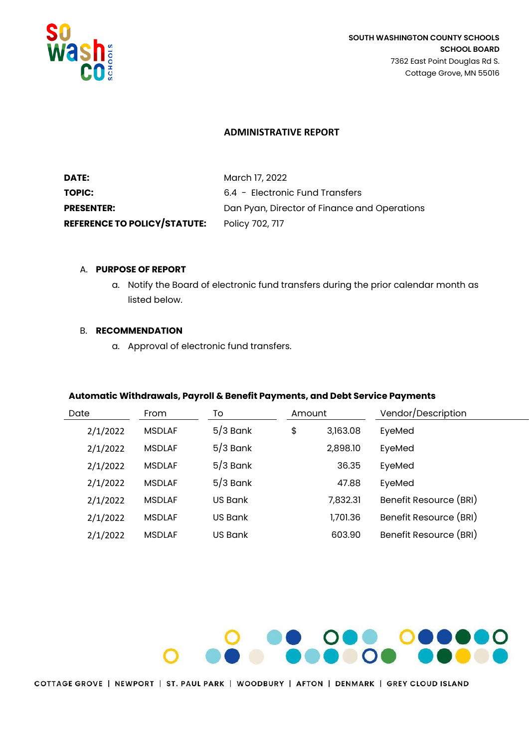

# **ADMINISTRATIVE REPORT**

| DATE:                               | March 17, 2022                               |
|-------------------------------------|----------------------------------------------|
| <b>TOPIC:</b>                       | 6.4 - Electronic Fund Transfers              |
| <b>PRESENTER:</b>                   | Dan Pyan, Director of Finance and Operations |
| <b>REFERENCE TO POLICY/STATUTE:</b> | Policy 702, 717                              |

# A. **PURPOSE OF REPORT**

a. Notify the Board of electronic fund transfers during the prior calendar month as listed below.

# B. **RECOMMENDATION**

a. Approval of electronic fund transfers.

# **Automatic Withdrawals, Payroll & Benefit Payments, and Debt Service Payments**

| Date     | From           | To         | Amount |          | Vendor/Description     |
|----------|----------------|------------|--------|----------|------------------------|
| 2/1/2022 | <b>MSDI AF</b> | $5/3$ Bank | \$     | 3,163.08 | EyeMed                 |
| 2/1/2022 | <b>MSDI AF</b> | $5/3$ Bank |        | 2,898.10 | EyeMed                 |
| 2/1/2022 | <b>MSDI AF</b> | $5/3$ Bank |        | 36.35    | EyeMed                 |
| 2/1/2022 | <b>MSDI AF</b> | $5/3$ Bank |        | 47.88    | EyeMed                 |
| 2/1/2022 | <b>MSDI AF</b> | US Bank    |        | 7,832.31 | Benefit Resource (BRI) |
| 2/1/2022 | <b>MSDI AF</b> | US Bank    |        | 1,701.36 | Benefit Resource (BRI) |
| 2/1/2022 | <b>MSDLAF</b>  | US Bank    |        | 603.90   | Benefit Resource (BRI) |

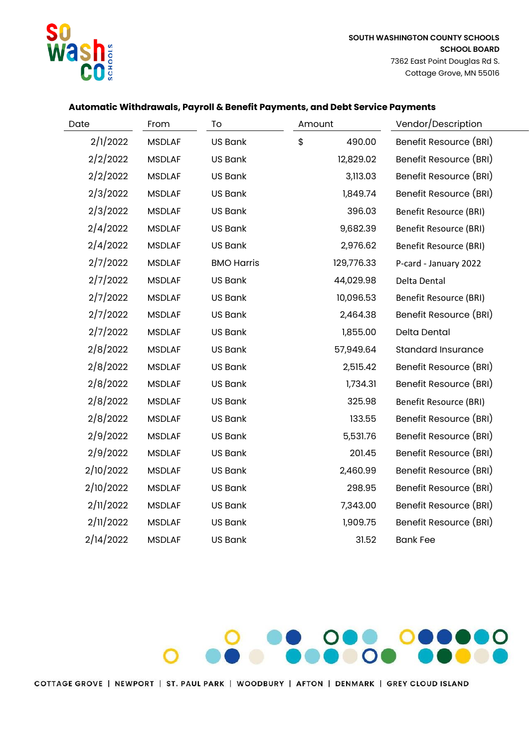

| Date      | From          | To                | Amount |            | Vendor/Description            |
|-----------|---------------|-------------------|--------|------------|-------------------------------|
| 2/1/2022  | <b>MSDLAF</b> | <b>US Bank</b>    | \$     | 490.00     | Benefit Resource (BRI)        |
| 2/2/2022  | <b>MSDLAF</b> | <b>US Bank</b>    |        | 12,829.02  | Benefit Resource (BRI)        |
| 2/2/2022  | <b>MSDLAF</b> | US Bank           |        | 3,113.03   | Benefit Resource (BRI)        |
| 2/3/2022  | <b>MSDLAF</b> | <b>US Bank</b>    |        | 1,849.74   | Benefit Resource (BRI)        |
| 2/3/2022  | <b>MSDLAF</b> | <b>US Bank</b>    |        | 396.03     | <b>Benefit Resource (BRI)</b> |
| 2/4/2022  | <b>MSDLAF</b> | <b>US Bank</b>    |        | 9,682.39   | <b>Benefit Resource (BRI)</b> |
| 2/4/2022  | <b>MSDLAF</b> | <b>US Bank</b>    |        | 2,976.62   | <b>Benefit Resource (BRI)</b> |
| 2/7/2022  | <b>MSDLAF</b> | <b>BMO Harris</b> |        | 129,776.33 | P-card - January 2022         |
| 2/7/2022  | <b>MSDLAF</b> | <b>US Bank</b>    |        | 44,029.98  | Delta Dental                  |
| 2/7/2022  | <b>MSDLAF</b> | <b>US Bank</b>    |        | 10,096.53  | <b>Benefit Resource (BRI)</b> |
| 2/7/2022  | <b>MSDLAF</b> | <b>US Bank</b>    |        | 2,464.38   | Benefit Resource (BRI)        |
| 2/7/2022  | <b>MSDLAF</b> | <b>US Bank</b>    |        | 1,855.00   | Delta Dental                  |
| 2/8/2022  | <b>MSDLAF</b> | <b>US Bank</b>    |        | 57,949.64  | <b>Standard Insurance</b>     |
| 2/8/2022  | <b>MSDLAF</b> | <b>US Bank</b>    |        | 2,515.42   | Benefit Resource (BRI)        |
| 2/8/2022  | <b>MSDLAF</b> | <b>US Bank</b>    |        | 1,734.31   | Benefit Resource (BRI)        |
| 2/8/2022  | <b>MSDLAF</b> | <b>US Bank</b>    |        | 325.98     | <b>Benefit Resource (BRI)</b> |
| 2/8/2022  | <b>MSDLAF</b> | <b>US Bank</b>    |        | 133.55     | Benefit Resource (BRI)        |
| 2/9/2022  | <b>MSDLAF</b> | US Bank           |        | 5,531.76   | Benefit Resource (BRI)        |
| 2/9/2022  | <b>MSDLAF</b> | <b>US Bank</b>    |        | 201.45     | Benefit Resource (BRI)        |
| 2/10/2022 | <b>MSDLAF</b> | US Bank           |        | 2,460.99   | Benefit Resource (BRI)        |
| 2/10/2022 | <b>MSDLAF</b> | <b>US Bank</b>    |        | 298.95     | Benefit Resource (BRI)        |
| 2/11/2022 | <b>MSDLAF</b> | <b>US Bank</b>    |        | 7,343.00   | Benefit Resource (BRI)        |
| 2/11/2022 | <b>MSDLAF</b> | <b>US Bank</b>    |        | 1,909.75   | Benefit Resource (BRI)        |
| 2/14/2022 | <b>MSDLAF</b> | US Bank           |        | 31.52      | <b>Bank Fee</b>               |

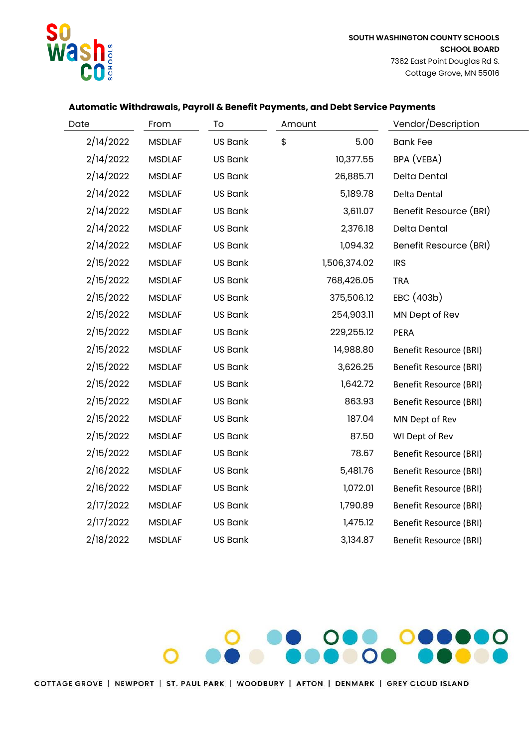

| Date      | From          | To             | Amount       | Vendor/Description            |
|-----------|---------------|----------------|--------------|-------------------------------|
| 2/14/2022 | <b>MSDLAF</b> | <b>US Bank</b> | \$<br>5.00   | <b>Bank Fee</b>               |
| 2/14/2022 | <b>MSDLAF</b> | <b>US Bank</b> | 10,377.55    | BPA (VEBA)                    |
| 2/14/2022 | <b>MSDLAF</b> | <b>US Bank</b> | 26,885.71    | Delta Dental                  |
| 2/14/2022 | <b>MSDLAF</b> | <b>US Bank</b> | 5,189.78     | Delta Dental                  |
| 2/14/2022 | <b>MSDLAF</b> | <b>US Bank</b> | 3,611.07     | Benefit Resource (BRI)        |
| 2/14/2022 | <b>MSDLAF</b> | <b>US Bank</b> | 2,376.18     | Delta Dental                  |
| 2/14/2022 | <b>MSDLAF</b> | <b>US Bank</b> | 1,094.32     | Benefit Resource (BRI)        |
| 2/15/2022 | <b>MSDLAF</b> | <b>US Bank</b> | 1,506,374.02 | <b>IRS</b>                    |
| 2/15/2022 | <b>MSDLAF</b> | <b>US Bank</b> | 768,426.05   | <b>TRA</b>                    |
| 2/15/2022 | <b>MSDLAF</b> | <b>US Bank</b> | 375,506.12   | EBC (403b)                    |
| 2/15/2022 | <b>MSDLAF</b> | <b>US Bank</b> | 254,903.11   | MN Dept of Rev                |
| 2/15/2022 | <b>MSDLAF</b> | <b>US Bank</b> | 229,255.12   | PERA                          |
| 2/15/2022 | <b>MSDLAF</b> | <b>US Bank</b> | 14,988.80    | <b>Benefit Resource (BRI)</b> |
| 2/15/2022 | <b>MSDLAF</b> | <b>US Bank</b> | 3,626.25     | <b>Benefit Resource (BRI)</b> |
| 2/15/2022 | <b>MSDLAF</b> | US Bank        | 1,642.72     | <b>Benefit Resource (BRI)</b> |
| 2/15/2022 | <b>MSDLAF</b> | <b>US Bank</b> | 863.93       | <b>Benefit Resource (BRI)</b> |
| 2/15/2022 | <b>MSDLAF</b> | <b>US Bank</b> | 187.04       | MN Dept of Rev                |
| 2/15/2022 | <b>MSDLAF</b> | <b>US Bank</b> | 87.50        | WI Dept of Rev                |
| 2/15/2022 | <b>MSDLAF</b> | <b>US Bank</b> | 78.67        | <b>Benefit Resource (BRI)</b> |
| 2/16/2022 | <b>MSDLAF</b> | US Bank        | 5,481.76     | <b>Benefit Resource (BRI)</b> |
| 2/16/2022 | <b>MSDLAF</b> | <b>US Bank</b> | 1,072.01     | <b>Benefit Resource (BRI)</b> |
| 2/17/2022 | <b>MSDLAF</b> | US Bank        | 1,790.89     | <b>Benefit Resource (BRI)</b> |
| 2/17/2022 | <b>MSDLAF</b> | <b>US Bank</b> | 1,475.12     | <b>Benefit Resource (BRI)</b> |
| 2/18/2022 | <b>MSDLAF</b> | <b>US Bank</b> | 3,134.87     | <b>Benefit Resource (BRI)</b> |

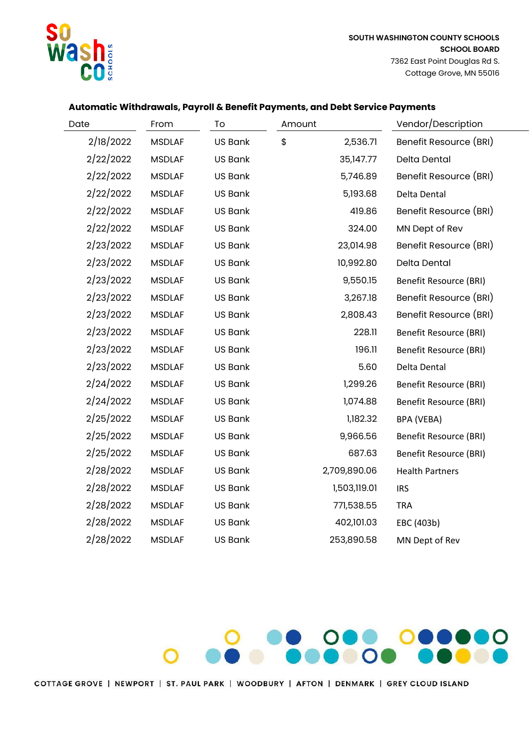

| Date      | From          | To             | Amount         | Vendor/Description            |
|-----------|---------------|----------------|----------------|-------------------------------|
| 2/18/2022 | <b>MSDLAF</b> | <b>US Bank</b> | \$<br>2,536.71 | Benefit Resource (BRI)        |
| 2/22/2022 | <b>MSDLAF</b> | <b>US Bank</b> | 35,147.77      | Delta Dental                  |
| 2/22/2022 | <b>MSDLAF</b> | <b>US Bank</b> | 5,746.89       | Benefit Resource (BRI)        |
| 2/22/2022 | <b>MSDLAF</b> | <b>US Bank</b> | 5,193.68       | Delta Dental                  |
| 2/22/2022 | <b>MSDLAF</b> | <b>US Bank</b> | 419.86         | Benefit Resource (BRI)        |
| 2/22/2022 | <b>MSDLAF</b> | <b>US Bank</b> | 324.00         | MN Dept of Rev                |
| 2/23/2022 | <b>MSDLAF</b> | <b>US Bank</b> | 23,014.98      | Benefit Resource (BRI)        |
| 2/23/2022 | <b>MSDLAF</b> | <b>US Bank</b> | 10,992.80      | Delta Dental                  |
| 2/23/2022 | <b>MSDLAF</b> | <b>US Bank</b> | 9,550.15       | <b>Benefit Resource (BRI)</b> |
| 2/23/2022 | <b>MSDLAF</b> | <b>US Bank</b> | 3,267.18       | Benefit Resource (BRI)        |
| 2/23/2022 | <b>MSDLAF</b> | <b>US Bank</b> | 2,808.43       | Benefit Resource (BRI)        |
| 2/23/2022 | <b>MSDLAF</b> | <b>US Bank</b> | 228.11         | <b>Benefit Resource (BRI)</b> |
| 2/23/2022 | <b>MSDLAF</b> | <b>US Bank</b> | 196.11         | <b>Benefit Resource (BRI)</b> |
| 2/23/2022 | <b>MSDLAF</b> | <b>US Bank</b> | 5.60           | Delta Dental                  |
| 2/24/2022 | <b>MSDLAF</b> | <b>US Bank</b> | 1,299.26       | <b>Benefit Resource (BRI)</b> |
| 2/24/2022 | <b>MSDLAF</b> | <b>US Bank</b> | 1,074.88       | <b>Benefit Resource (BRI)</b> |
| 2/25/2022 | <b>MSDLAF</b> | <b>US Bank</b> | 1,182.32       | BPA (VEBA)                    |
| 2/25/2022 | <b>MSDLAF</b> | <b>US Bank</b> | 9,966.56       | <b>Benefit Resource (BRI)</b> |
| 2/25/2022 | <b>MSDLAF</b> | US Bank        | 687.63         | <b>Benefit Resource (BRI)</b> |
| 2/28/2022 | <b>MSDLAF</b> | <b>US Bank</b> | 2,709,890.06   | <b>Health Partners</b>        |
| 2/28/2022 | <b>MSDLAF</b> | <b>US Bank</b> | 1,503,119.01   | <b>IRS</b>                    |
| 2/28/2022 | <b>MSDLAF</b> | <b>US Bank</b> | 771,538.55     | <b>TRA</b>                    |
| 2/28/2022 | <b>MSDLAF</b> | <b>US Bank</b> | 402,101.03     | EBC (403b)                    |
| 2/28/2022 | <b>MSDLAF</b> | <b>US Bank</b> | 253,890.58     | MN Dept of Rev                |